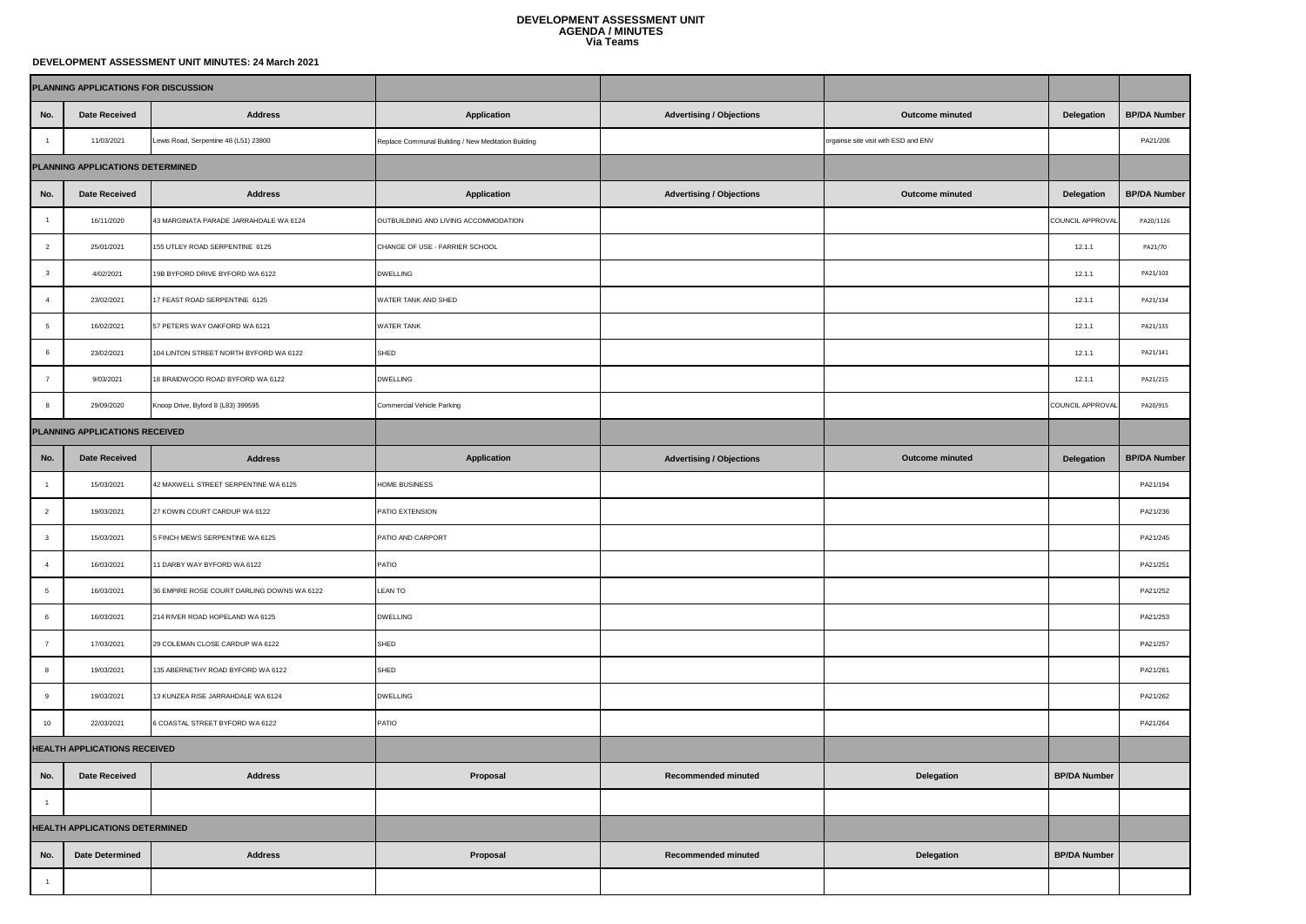## **DEVELOPMENT ASSESSMENT UNIT AGENDA / MINUTES Via Teams**

## **DEVELOPMENT ASSESSMENT UNIT MINUTES: 24 March 2021**

| PLANNING APPLICATIONS FOR DISCUSSION |                        |                                            |                                                     |                                 |                                      |                     |                     |
|--------------------------------------|------------------------|--------------------------------------------|-----------------------------------------------------|---------------------------------|--------------------------------------|---------------------|---------------------|
| No.                                  | <b>Date Received</b>   | <b>Address</b>                             | Application                                         | <b>Advertising / Objections</b> | <b>Outcome minuted</b>               | Delegation          | <b>BP/DA Number</b> |
| $\overline{1}$                       | 11/03/2021             | Lewis Road, Serpentine 48 (L51) 23800      | Replace Communal Building / New Meditation Building |                                 | orgainse site visit with ESD and ENV |                     | PA21/206            |
| PLANNING APPLICATIONS DETERMINED     |                        |                                            |                                                     |                                 |                                      |                     |                     |
| No.                                  | <b>Date Received</b>   | <b>Address</b>                             | Application                                         | <b>Advertising / Objections</b> | Outcome minuted                      | Delegation          | <b>BP/DA Number</b> |
| $\overline{1}$                       | 16/11/2020             | 43 MARGINATA PARADE JARRAHDALE WA 6124     | OUTBUILDING AND LIVING ACCOMMODATION                |                                 |                                      | COUNCIL APPROVAL    | PA20/1126           |
| $\overline{2}$                       | 25/01/2021             | 155 UTLEY ROAD SERPENTINE 6125             | CHANGE OF USE - FARRIER SCHOOL                      |                                 |                                      | 12.1.1              | PA21/70             |
| $\overline{\mathbf{3}}$              | 4/02/2021              | 19B BYFORD DRIVE BYFORD WA 6122            | <b>DWELLING</b>                                     |                                 |                                      | 12.1.1              | PA21/103            |
| $\overline{4}$                       | 23/02/2021             | 17 FEAST ROAD SERPENTINE 6125              | WATER TANK AND SHED                                 |                                 |                                      | 12.1.1              | PA21/134            |
| $\sqrt{5}$                           | 16/02/2021             | 57 PETERS WAY OAKFORD WA 6121              | WATER TANK                                          |                                 |                                      | 12.1.1              | PA21/135            |
| 6                                    | 23/02/2021             | 104 LINTON STREET NORTH BYFORD WA 6122     | SHED                                                |                                 |                                      | 12.1.1              | PA21/141            |
| $\overline{7}$                       | 9/03/2021              | 18 BRAIDWOOD ROAD BYFORD WA 6122           | <b>DWELLING</b>                                     |                                 |                                      | 12.1.1              | PA21/215            |
| 8                                    | 29/09/2020             | Knoop Drive, Byford 8 (L83) 399595         | Commercial Vehicle Parking                          |                                 |                                      | COUNCIL APPROVAL    | PA20/915            |
| PLANNING APPLICATIONS RECEIVED       |                        |                                            |                                                     |                                 |                                      |                     |                     |
| No.                                  | <b>Date Received</b>   | <b>Address</b>                             | Application                                         | <b>Advertising / Objections</b> | Outcome minuted                      | Delegation          | <b>BP/DA Number</b> |
| $\overline{1}$                       | 15/03/2021             | 42 MAXWELL STREET SERPENTINE WA 6125       | HOME BUSINESS                                       |                                 |                                      |                     | PA21/194            |
| $\overline{2}$                       | 19/03/2021             | 27 KOWIN COURT CARDUP WA 6122              | PATIO EXTENSION                                     |                                 |                                      |                     | PA21/236            |
| $\mathbf{3}$                         | 15/03/2021             | 5 FINCH MEWS SERPENTINE WA 6125            | PATIO AND CARPORT                                   |                                 |                                      |                     | PA21/245            |
| $\overline{4}$                       | 16/03/2021             | 11 DARBY WAY BYFORD WA 6122                | PATIO                                               |                                 |                                      |                     | PA21/251            |
| $\sqrt{5}$                           | 16/03/2021             | 36 EMPIRE ROSE COURT DARLING DOWNS WA 6122 | <b>LEAN TO</b>                                      |                                 |                                      |                     | PA21/252            |
| 6                                    | 16/03/2021             | 214 RIVER ROAD HOPELAND WA 6125            | <b>DWELLING</b>                                     |                                 |                                      |                     | PA21/253            |
| $\overline{7}$                       | 17/03/2021             | 29 COLEMAN CLOSE CARDUP WA 6122            | SHED                                                |                                 |                                      |                     | PA21/257            |
| 8                                    | 19/03/2021             | 135 ABERNETHY ROAD BYFORD WA 6122          | SHED                                                |                                 |                                      |                     | PA21/261            |
| 9                                    | 19/03/2021             | 13 KUNZEA RISE JARRAHDALE WA 6124          | <b>DWELLING</b>                                     |                                 |                                      |                     | PA21/262            |
| $10$                                 | 22/03/2021             | 6 COASTAL STREET BYFORD WA 6122            | PATIO                                               |                                 |                                      |                     | PA21/264            |
| <b>HEALTH APPLICATIONS RECEIVED</b>  |                        |                                            |                                                     |                                 |                                      |                     |                     |
| No.                                  | <b>Date Received</b>   | <b>Address</b>                             | Proposal                                            | <b>Recommended minuted</b>      | Delegation                           | <b>BP/DA Number</b> |                     |
| $\overline{1}$                       |                        |                                            |                                                     |                                 |                                      |                     |                     |
| HEALTH APPLICATIONS DETERMINED       |                        |                                            |                                                     |                                 |                                      |                     |                     |
| No.                                  | <b>Date Determined</b> | <b>Address</b>                             | Proposal                                            | Recommended minuted             | Delegation                           | <b>BP/DA Number</b> |                     |
| $\overline{1}$                       |                        |                                            |                                                     |                                 |                                      |                     |                     |